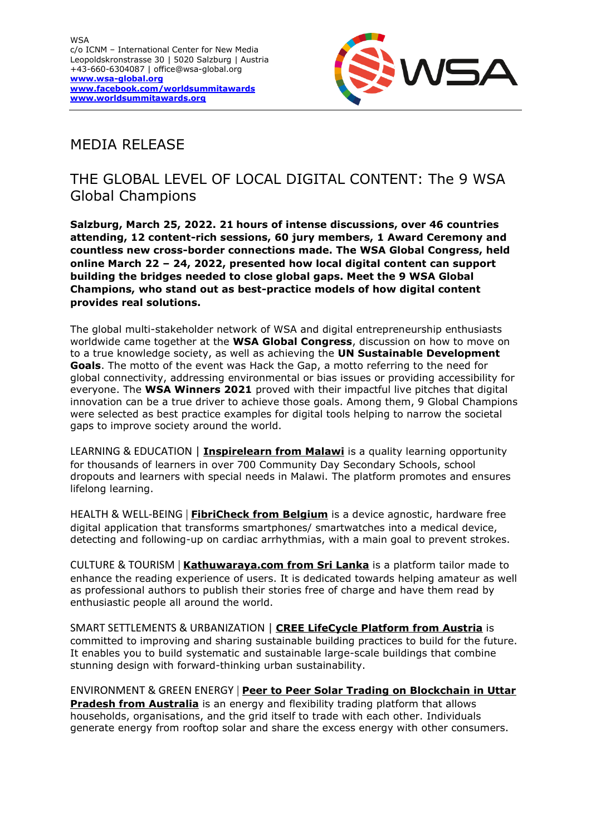

# MEDIA RELEASE

## THE GLOBAL LEVEL OF LOCAL DIGITAL CONTENT: The 9 WSA Global Champions

**Salzburg, March 25, 2022. 21 hours of intense discussions, over 46 countries attending, 12 content-rich sessions, 60 jury members, 1 Award Ceremony and countless new cross-border connections made. The WSA Global Congress, held online March 22 – 24, 2022, presented how local digital content can support building the bridges needed to close global gaps. Meet the 9 WSA Global Champions, who stand out as best-practice models of how digital content provides real solutions.** 

The global multi-stakeholder network of WSA and digital entrepreneurship enthusiasts worldwide came together at the **WSA Global Congress**, discussion on how to move on to a true knowledge society, as well as achieving the **UN Sustainable Development Goals**. The motto of the event was Hack the Gap, a motto referring to the need for global connectivity, addressing environmental or bias issues or providing accessibility for everyone. The **WSA Winners 2021** proved with their impactful live pitches that digital innovation can be a true driver to achieve those goals. Among them, 9 Global Champions were selected as best practice examples for digital tools helping to narrow the societal gaps to improve society around the world.

LEARNING & EDUCATION | **[Inspirelearn from Malawi](https://wsa-global.org/winner/inspirelearn/)** is a quality learning opportunity for thousands of learners in over 700 Community Day Secondary Schools, school dropouts and learners with special needs in Malawi. The platform promotes and ensures lifelong learning.

HEALTH & WELL-BEING | **FibriCheck [from Belgium](https://wsa-global.org/winner/fibricheck/)** is a device agnostic, hardware free digital application that transforms smartphones/ smartwatches into a medical device, detecting and following-up on cardiac arrhythmias, with a main goal to prevent strokes.

CULTURE & TOURISM | **[Kathuwaraya.com from Sri Lanka](https://wsa-global.org/winner/kathuwaraya/)** is a platform tailor made to enhance the reading experience of users. It is dedicated towards helping amateur as well as professional authors to publish their stories free of charge and have them read by enthusiastic people all around the world.

SMART SETTLEMENTS & URBANIZATION | **CREE [LifeCycle Platform from Austria](https://wsa-global.org/winner/cree-lifecycle-platform/)** is committed to improving and sharing sustainable building practices to build for the future. It enables you to build systematic and sustainable large-scale buildings that combine stunning design with forward-thinking urban sustainability.

ENVIRONMENT & GREEN ENERGY | **[Peer to Peer Solar Trading](https://wsa-global.org/winner/peer-to-peer-solar-trading-on-blockchain-in-uttar-pradesh/) on Blockchain in Uttar [Pradesh from Australia](https://wsa-global.org/winner/peer-to-peer-solar-trading-on-blockchain-in-uttar-pradesh/)** is an energy and flexibility trading platform that allows households, organisations, and the grid itself to trade with each other. Individuals generate energy from rooftop solar and share the excess energy with other consumers.